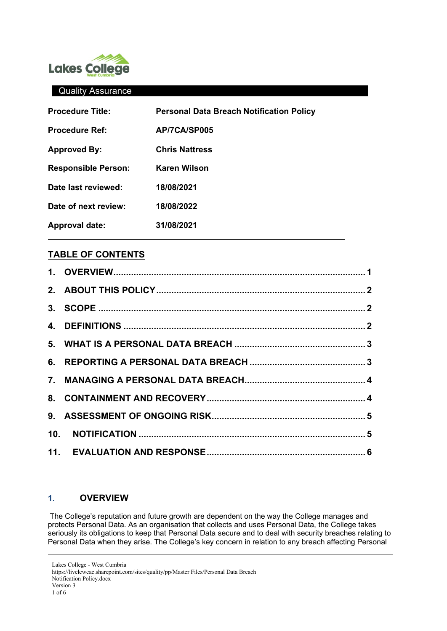

#### Quality Assurance

| <b>Procedure Title:</b>    | <b>Personal Data Breach Notification Policy</b> |
|----------------------------|-------------------------------------------------|
| <b>Procedure Ref:</b>      | AP/7CA/SP005                                    |
| <b>Approved By:</b>        | <b>Chris Nattress</b>                           |
| <b>Responsible Person:</b> | Karen Wilson                                    |
| Date last reviewed:        | 18/08/2021                                      |
| Date of next review:       | 18/08/2022                                      |
| <b>Approval date:</b>      | 31/08/2021                                      |

## **TABLE OF CONTENTS**

#### <span id="page-0-0"></span>**1. OVERVIEW**

The College's reputation and future growth are dependent on the way the College manages and protects Personal Data. As an organisation that collects and uses Personal Data, the College takes seriously its obligations to keep that Personal Data secure and to deal with security breaches relating to Personal Data when they arise. The College's key concern in relation to any breach affecting Personal

https://livelcwcac.sharepoint.com/sites/quality/pp/Master Files/Personal Data Breach

Notification Policy.docx Version 3

Lakes College - West Cumbria

<sup>1</sup> of 6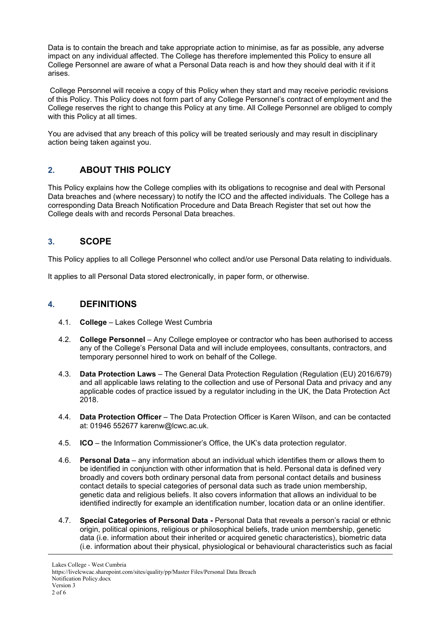Data is to contain the breach and take appropriate action to minimise, as far as possible, any adverse impact on any individual affected. The College has therefore implemented this Policy to ensure all College Personnel are aware of what a Personal Data reach is and how they should deal with it if it arises.

College Personnel will receive a copy of this Policy when they start and may receive periodic revisions of this Policy. This Policy does not form part of any College Personnel's contract of employment and the College reserves the right to change this Policy at any time. All College Personnel are obliged to comply with this Policy at all times.

<span id="page-1-0"></span>You are advised that any breach of this policy will be treated seriously and may result in disciplinary action being taken against you.

# **2. ABOUT THIS POLICY**

This Policy explains how the College complies with its obligations to recognise and deal with Personal Data breaches and (where necessary) to notify the ICO and the affected individuals. The College has a corresponding Data Breach Notification Procedure and Data Breach Register that set out how the College deals with and records Personal Data breaches.

# <span id="page-1-1"></span>**3. SCOPE**

This Policy applies to all College Personnel who collect and/or use Personal Data relating to individuals.

<span id="page-1-2"></span>It applies to all Personal Data stored electronically, in paper form, or otherwise.

## **4. DEFINITIONS**

- 4.1. **College** Lakes College West Cumbria
- 4.2. **College Personnel** Any College employee or contractor who has been authorised to access any of the College's Personal Data and will include employees, consultants, contractors, and temporary personnel hired to work on behalf of the College.
- 4.3. **Data Protection Laws**  The General Data Protection Regulation (Regulation (EU) 2016/679) and all applicable laws relating to the collection and use of Personal Data and privacy and any applicable codes of practice issued by a regulator including in the UK, the Data Protection Act 2018.
- 4.4. **Data Protection Officer** The Data Protection Officer is Karen Wilson, and can be contacted at: 01946 552677 karenw@lcwc.ac.uk.
- 4.5. **ICO** the Information Commissioner's Office, the UK's data protection regulator.
- 4.6. **Personal Data** any information about an individual which identifies them or allows them to be identified in conjunction with other information that is held. Personal data is defined very broadly and covers both ordinary personal data from personal contact details and business contact details to special categories of personal data such as trade union membership, genetic data and religious beliefs. It also covers information that allows an individual to be identified indirectly for example an identification number, location data or an online identifier.
- 4.7. **Special Categories of Personal Data -** Personal Data that reveals a person's racial or ethnic origin, political opinions, religious or philosophical beliefs, trade union membership, genetic data (i.e. information about their inherited or acquired genetic characteristics), biometric data (i.e. information about their physical, physiological or behavioural characteristics such as facial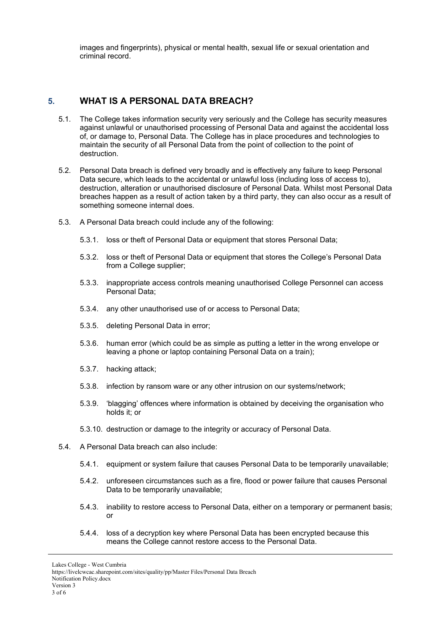images and fingerprints), physical or mental health, sexual life or sexual orientation and criminal record.

### <span id="page-2-0"></span>**5. WHAT IS A PERSONAL DATA BREACH?**

- 5.1. The College takes information security very seriously and the College has security measures against unlawful or unauthorised processing of Personal Data and against the accidental loss of, or damage to, Personal Data. The College has in place procedures and technologies to maintain the security of all Personal Data from the point of collection to the point of destruction.
- 5.2. Personal Data breach is defined very broadly and is effectively any failure to keep Personal Data secure, which leads to the accidental or unlawful loss (including loss of access to). destruction, alteration or unauthorised disclosure of Personal Data. Whilst most Personal Data breaches happen as a result of action taken by a third party, they can also occur as a result of something someone internal does.
- 5.3. A Personal Data breach could include any of the following:
	- 5.3.1. loss or theft of Personal Data or equipment that stores Personal Data;
	- 5.3.2. loss or theft of Personal Data or equipment that stores the College's Personal Data from a College supplier;
	- 5.3.3. inappropriate access controls meaning unauthorised College Personnel can access Personal Data;
	- 5.3.4. any other unauthorised use of or access to Personal Data;
	- 5.3.5. deleting Personal Data in error;
	- 5.3.6. human error (which could be as simple as putting a letter in the wrong envelope or leaving a phone or laptop containing Personal Data on a train);
	- 5.3.7. hacking attack;
	- 5.3.8. infection by ransom ware or any other intrusion on our systems/network;
	- 5.3.9. 'blagging' offences where information is obtained by deceiving the organisation who holds it; or
	- 5.3.10. destruction or damage to the integrity or accuracy of Personal Data.
- 5.4. A Personal Data breach can also include:
	- 5.4.1. equipment or system failure that causes Personal Data to be temporarily unavailable;
	- 5.4.2. unforeseen circumstances such as a fire, flood or power failure that causes Personal Data to be temporarily unavailable;
	- 5.4.3. inability to restore access to Personal Data, either on a temporary or permanent basis; or
	- 5.4.4. loss of a decryption key where Personal Data has been encrypted because this means the College cannot restore access to the Personal Data.

https://livelcwcac.sharepoint.com/sites/quality/pp/Master Files/Personal Data Breach Notification Policy.docx Version 3

Lakes College - West Cumbria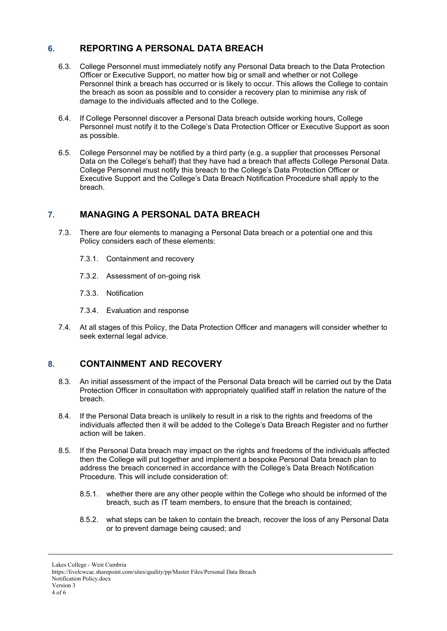# <span id="page-3-0"></span>**6. REPORTING A PERSONAL DATA BREACH**

- 6.3. College Personnel must immediately notify any Personal Data breach to the Data Protection Officer or Executive Support, no matter how big or small and whether or not College Personnel think a breach has occurred or is likely to occur. This allows the College to contain the breach as soon as possible and to consider a recovery plan to minimise any risk of damage to the individuals affected and to the College.
- 6.4. If College Personnel discover a Personal Data breach outside working hours, College Personnel must notify it to the College's Data Protection Officer or Executive Support as soon as possible.
- 6.5. College Personnel may be notified by a third party (e.g. a supplier that processes Personal Data on the College's behalf) that they have had a breach that affects College Personal Data. College Personnel must notify this breach to the College's Data Protection Officer or Executive Support and the College's Data Breach Notification Procedure shall apply to the breach.

# <span id="page-3-1"></span>**7. MANAGING A PERSONAL DATA BREACH**

- 7.3. There are four elements to managing a Personal Data breach or a potential one and this Policy considers each of these elements:
	- 7.3.1. Containment and recovery
	- 7.3.2. Assessment of on-going risk
	- 7.3.3. Notification
	- 7.3.4. Evaluation and response
- 7.4. At all stages of this Policy, the Data Protection Officer and managers will consider whether to seek external legal advice.

# <span id="page-3-2"></span>**8. CONTAINMENT AND RECOVERY**

- 8.3. An initial assessment of the impact of the Personal Data breach will be carried out by the Data Protection Officer in consultation with appropriately qualified staff in relation the nature of the breach.
- 8.4. If the Personal Data breach is unlikely to result in a risk to the rights and freedoms of the individuals affected then it will be added to the College's Data Breach Register and no further action will be taken.
- 8.5. If the Personal Data breach may impact on the rights and freedoms of the individuals affected then the College will put together and implement a bespoke Personal Data breach plan to address the breach concerned in accordance with the College's Data Breach Notification Procedure. This will include consideration of:
	- 8.5.1. whether there are any other people within the College who should be informed of the breach, such as IT team members, to ensure that the breach is contained;
	- 8.5.2. what steps can be taken to contain the breach, recover the loss of any Personal Data or to prevent damage being caused; and

https://livelcwcac.sharepoint.com/sites/quality/pp/Master Files/Personal Data Breach Notification Policy.docx Version 3

Lakes College - West Cumbria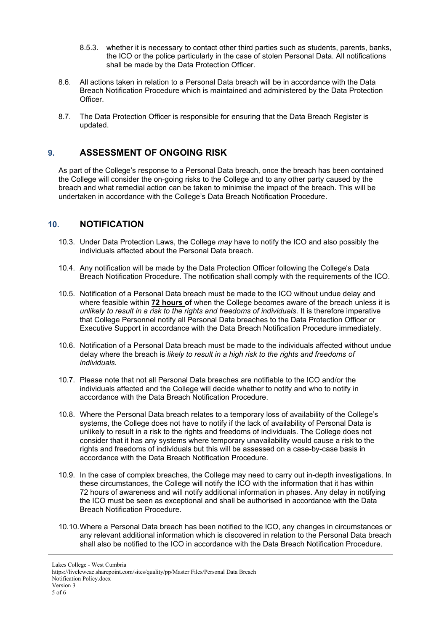- 8.5.3. whether it is necessary to contact other third parties such as students, parents, banks, the ICO or the police particularly in the case of stolen Personal Data. All notifications shall be made by the Data Protection Officer.
- 8.6. All actions taken in relation to a Personal Data breach will be in accordance with the Data Breach Notification Procedure which is maintained and administered by the Data Protection **Officer**
- 8.7. The Data Protection Officer is responsible for ensuring that the Data Breach Register is updated.

## <span id="page-4-0"></span>**9. ASSESSMENT OF ONGOING RISK**

As part of the College's response to a Personal Data breach, once the breach has been contained the College will consider the on-going risks to the College and to any other party caused by the breach and what remedial action can be taken to minimise the impact of the breach. This will be undertaken in accordance with the College's Data Breach Notification Procedure.

#### <span id="page-4-1"></span>**10. NOTIFICATION**

- 10.3. Under Data Protection Laws, the College *may* have to notify the ICO and also possibly the individuals affected about the Personal Data breach.
- 10.4. Any notification will be made by the Data Protection Officer following the College's Data Breach Notification Procedure. The notification shall comply with the requirements of the ICO.
- 10.5. Notification of a Personal Data breach must be made to the ICO without undue delay and where feasible within **72 hours of** when the College becomes aware of the breach unless it is *unlikely to result in a risk to the rights and freedoms of individuals*. It is therefore imperative that College Personnel notify all Personal Data breaches to the Data Protection Officer or Executive Support in accordance with the Data Breach Notification Procedure immediately.
- 10.6. Notification of a Personal Data breach must be made to the individuals affected without undue delay where the breach is *likely to result in a high risk to the rights and freedoms of individuals.*
- 10.7. Please note that not all Personal Data breaches are notifiable to the ICO and/or the individuals affected and the College will decide whether to notify and who to notify in accordance with the Data Breach Notification Procedure.
- 10.8. Where the Personal Data breach relates to a temporary loss of availability of the College's systems, the College does not have to notify if the lack of availability of Personal Data is unlikely to result in a risk to the rights and freedoms of individuals. The College does not consider that it has any systems where temporary unavailability would cause a risk to the rights and freedoms of individuals but this will be assessed on a case-by-case basis in accordance with the Data Breach Notification Procedure.
- 10.9. In the case of complex breaches, the College may need to carry out in-depth investigations. In these circumstances, the College will notify the ICO with the information that it has within 72 hours of awareness and will notify additional information in phases. Any delay in notifying the ICO must be seen as exceptional and shall be authorised in accordance with the Data Breach Notification Procedure.
- 10.10.Where a Personal Data breach has been notified to the ICO, any changes in circumstances or any relevant additional information which is discovered in relation to the Personal Data breach shall also be notified to the ICO in accordance with the Data Breach Notification Procedure.